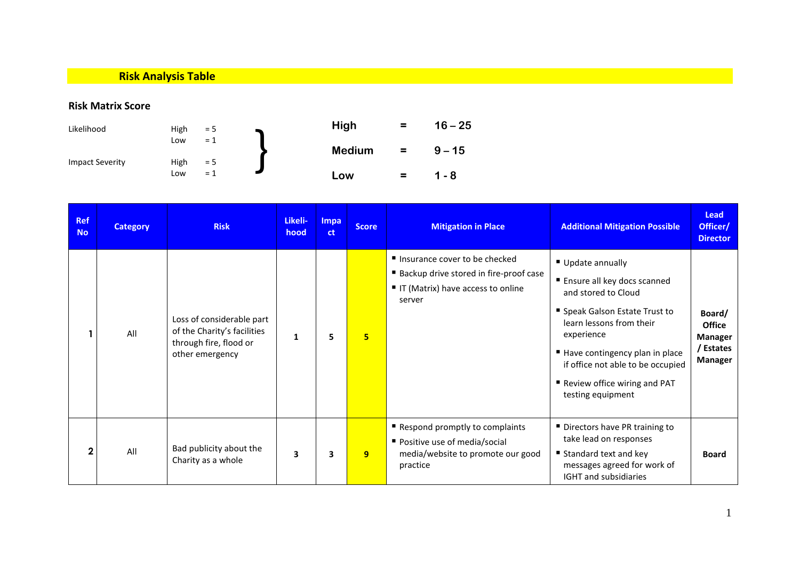## **Risk Analysis Table**

## **Risk Matrix Score**

| Likelihood             | High        | $= 5$          | High          | $\equiv$ | $16 - 25$ |
|------------------------|-------------|----------------|---------------|----------|-----------|
|                        | Low         | $= 1$<br>$= 5$ | <b>Medium</b> | $\equiv$ | $9 - 15$  |
| <b>Impact Severity</b> | High<br>Low | $= 1$          | Low           | $\equiv$ | 1 - 8     |

| <b>Ref</b><br><b>No</b> | <b>Category</b> | <b>Risk</b>                                                                                           | Likeli-<br>hood         | Impa<br>ct | <b>Score</b>    | <b>Mitigation in Place</b>                                                                                                   | <b>Additional Mitigation Possible</b>                                                                                                                                                                                                                                           | Lead<br>Officer/<br><b>Director</b>                               |
|-------------------------|-----------------|-------------------------------------------------------------------------------------------------------|-------------------------|------------|-----------------|------------------------------------------------------------------------------------------------------------------------------|---------------------------------------------------------------------------------------------------------------------------------------------------------------------------------------------------------------------------------------------------------------------------------|-------------------------------------------------------------------|
|                         | All             | Loss of considerable part<br>of the Charity's facilities<br>through fire, flood or<br>other emergency | $\mathbf{1}$            | 5          | $5\overline{ }$ | ■ Insurance cover to be checked<br>■ Backup drive stored in fire-proof case<br>■ IT (Matrix) have access to online<br>server | Update annually<br>■ Ensure all key docs scanned<br>and stored to Cloud<br>■ Speak Galson Estate Trust to<br>learn lessons from their<br>experience<br>Have contingency plan in place<br>if office not able to be occupied<br>Review office wiring and PAT<br>testing equipment | Board/<br><b>Office</b><br><b>Manager</b><br>/ Estates<br>Manager |
| $\mathbf{2}$            | All             | Bad publicity about the<br>Charity as a whole                                                         | $\overline{\mathbf{3}}$ | 3          | 9               | Respond promptly to complaints<br>Positive use of media/social<br>media/website to promote our good<br>practice              | Directors have PR training to<br>take lead on responses<br>■ Standard text and key<br>messages agreed for work of<br>IGHT and subsidiaries                                                                                                                                      | <b>Board</b>                                                      |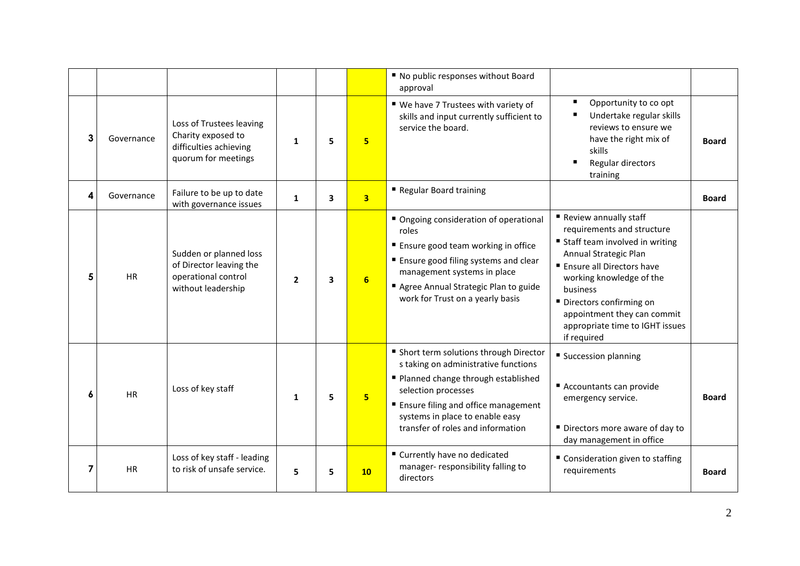|   |            |                                                                                                 |                |    |                 | " No public responses without Board<br>approval                                                                                                                                                                                                                 |                                                                                                                                                                                                                                                                                                       |              |
|---|------------|-------------------------------------------------------------------------------------------------|----------------|----|-----------------|-----------------------------------------------------------------------------------------------------------------------------------------------------------------------------------------------------------------------------------------------------------------|-------------------------------------------------------------------------------------------------------------------------------------------------------------------------------------------------------------------------------------------------------------------------------------------------------|--------------|
| 3 | Governance | Loss of Trustees leaving<br>Charity exposed to<br>difficulties achieving<br>quorum for meetings | $\mathbf{1}$   | 5  | 5 <sup>2</sup>  | ■ We have 7 Trustees with variety of<br>skills and input currently sufficient to<br>service the board.                                                                                                                                                          | Opportunity to co opt<br>Undertake regular skills<br>reviews to ensure we<br>have the right mix of<br>skills<br>Regular directors<br>training                                                                                                                                                         | <b>Board</b> |
| 4 | Governance | Failure to be up to date<br>with governance issues                                              | $\mathbf{1}$   | 3  | 3 <sup>1</sup>  | Regular Board training                                                                                                                                                                                                                                          |                                                                                                                                                                                                                                                                                                       | <b>Board</b> |
| 5 | <b>HR</b>  | Sudden or planned loss<br>of Director leaving the<br>operational control<br>without leadership  | $\overline{2}$ | 3  | 6               | ■ Ongoing consideration of operational<br>roles<br>■ Ensure good team working in office<br>■ Ensure good filing systems and clear<br>management systems in place<br>Agree Annual Strategic Plan to guide<br>work for Trust on a yearly basis                    | Review annually staff<br>requirements and structure<br>■ Staff team involved in writing<br>Annual Strategic Plan<br>■ Ensure all Directors have<br>working knowledge of the<br>business<br>■ Directors confirming on<br>appointment they can commit<br>appropriate time to IGHT issues<br>if required |              |
| 6 | <b>HR</b>  | Loss of key staff                                                                               | $\mathbf{1}$   | 5  | 5 <sub>5</sub>  | ■ Short term solutions through Director<br>s taking on administrative functions<br>■ Planned change through established<br>selection processes<br>■ Ensure filing and office management<br>systems in place to enable easy<br>transfer of roles and information | ■ Succession planning<br>Accountants can provide<br>emergency service.<br>Directors more aware of day to<br>day management in office                                                                                                                                                                  | <b>Board</b> |
| 7 | <b>HR</b>  | Loss of key staff - leading<br>to risk of unsafe service.                                       | 5              | 5. | 10 <sub>1</sub> | ■ Currently have no dedicated<br>manager-responsibility falling to<br>directors                                                                                                                                                                                 | ■ Consideration given to staffing<br>requirements                                                                                                                                                                                                                                                     | <b>Board</b> |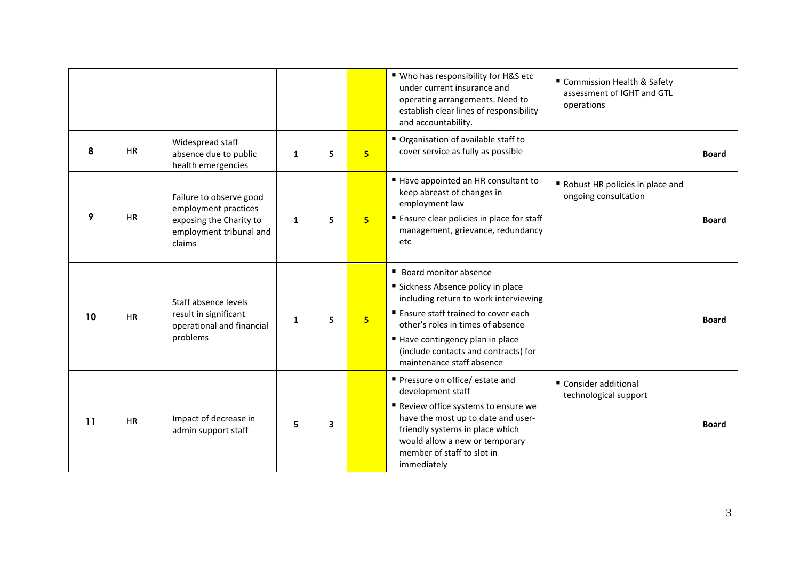|    |           |                                                                                                                 |              |                         |                 | ■ Who has responsibility for H&S etc<br>under current insurance and<br>operating arrangements. Need to<br>establish clear lines of responsibility<br>and accountability.                                                                                                                 | " Commission Health & Safety<br>assessment of IGHT and GTL<br>operations |              |
|----|-----------|-----------------------------------------------------------------------------------------------------------------|--------------|-------------------------|-----------------|------------------------------------------------------------------------------------------------------------------------------------------------------------------------------------------------------------------------------------------------------------------------------------------|--------------------------------------------------------------------------|--------------|
| 8  | <b>HR</b> | Widespread staff<br>absence due to public<br>health emergencies                                                 | $\mathbf{1}$ | 5                       | 5               | Organisation of available staff to<br>cover service as fully as possible                                                                                                                                                                                                                 |                                                                          | <b>Board</b> |
| 9  | <b>HR</b> | Failure to observe good<br>employment practices<br>exposing the Charity to<br>employment tribunal and<br>claims | $\mathbf{1}$ | 5                       | 5               | ■ Have appointed an HR consultant to<br>keep abreast of changes in<br>employment law<br>■ Ensure clear policies in place for staff<br>management, grievance, redundancy<br>etc                                                                                                           | Robust HR policies in place and<br>ongoing consultation                  | <b>Board</b> |
| 10 | <b>HR</b> | Staff absence levels<br>result in significant<br>operational and financial<br>problems                          | 1            | 5                       | $5\overline{ }$ | ■ Board monitor absence<br>Sickness Absence policy in place<br>including return to work interviewing<br>■ Ensure staff trained to cover each<br>other's roles in times of absence<br>Have contingency plan in place<br>(include contacts and contracts) for<br>maintenance staff absence |                                                                          | <b>Board</b> |
| 11 | <b>HR</b> | Impact of decrease in<br>admin support staff                                                                    | 5            | $\overline{\mathbf{3}}$ |                 | Pressure on office/estate and<br>development staff<br>Review office systems to ensure we<br>have the most up to date and user-<br>friendly systems in place which<br>would allow a new or temporary<br>member of staff to slot in<br>immediately                                         | ■ Consider additional<br>technological support                           | <b>Board</b> |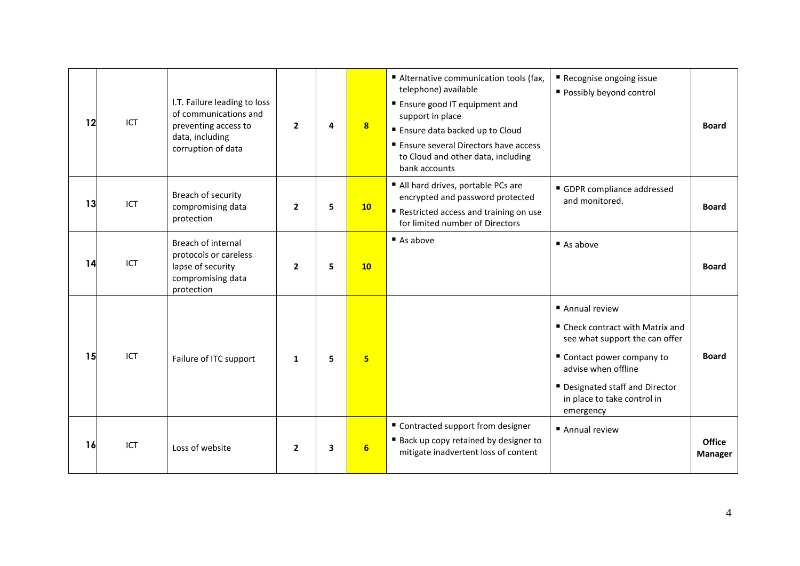| 12 | ICT | I.T. Failure leading to loss<br>of communications and<br>preventing access to<br>data, including<br>corruption of data | $\overline{2}$ | 4 | 8              | Alternative communication tools (fax,<br>telephone) available<br>■ Ensure good IT equipment and<br>support in place<br>■ Ensure data backed up to Cloud<br>■ Ensure several Directors have access<br>to Cloud and other data, including<br>bank accounts | Recognise ongoing issue<br>Possibly beyond control                                                                                                                                                                        | <b>Board</b>                    |
|----|-----|------------------------------------------------------------------------------------------------------------------------|----------------|---|----------------|----------------------------------------------------------------------------------------------------------------------------------------------------------------------------------------------------------------------------------------------------------|---------------------------------------------------------------------------------------------------------------------------------------------------------------------------------------------------------------------------|---------------------------------|
| 13 | ICT | Breach of security<br>compromising data<br>protection                                                                  | $\overline{2}$ | 5 | 10             | All hard drives, portable PCs are<br>encrypted and password protected<br>Restricted access and training on use<br>for limited number of Directors                                                                                                        | GDPR compliance addressed<br>and monitored.                                                                                                                                                                               | <b>Board</b>                    |
| 14 | ICT | Breach of internal<br>protocols or careless<br>lapse of security<br>compromising data<br>protection                    | $\overline{2}$ | 5 | 10             | As above                                                                                                                                                                                                                                                 | $\blacksquare$ As above                                                                                                                                                                                                   | <b>Board</b>                    |
| 15 | ICT | Failure of ITC support                                                                                                 | $\mathbf{1}$   | 5 | 5 <sub>5</sub> |                                                                                                                                                                                                                                                          | ■ Annual review<br>■ Check contract with Matrix and<br>see what support the can offer<br>■ Contact power company to<br>advise when offline<br>■ Designated staff and Director<br>in place to take control in<br>emergency | <b>Board</b>                    |
| 16 | ICT | Loss of website                                                                                                        | $\mathbf{2}$   | 3 | 6              | ■ Contracted support from designer<br>■ Back up copy retained by designer to<br>mitigate inadvertent loss of content                                                                                                                                     | Annual review                                                                                                                                                                                                             | <b>Office</b><br><b>Manager</b> |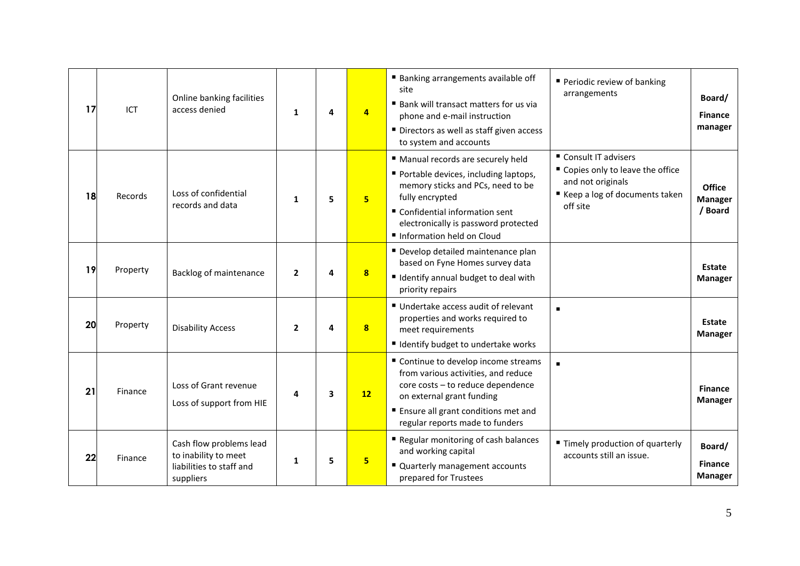| 17 | ICT      | Online banking facilities<br>access denied                                               | $\mathbf{1}$ | 4 | $\overline{4}$          | ■ Banking arrangements available off<br>site<br>■ Bank will transact matters for us via<br>phone and e-mail instruction<br>Directors as well as staff given access<br>to system and accounts                                               | Periodic review of banking<br>arrangements                                                                                     | Board/<br><b>Finance</b><br>manager        |
|----|----------|------------------------------------------------------------------------------------------|--------------|---|-------------------------|--------------------------------------------------------------------------------------------------------------------------------------------------------------------------------------------------------------------------------------------|--------------------------------------------------------------------------------------------------------------------------------|--------------------------------------------|
| 18 | Records  | Loss of confidential<br>records and data                                                 | 1            | 5 | 5 <sup>2</sup>          | " Manual records are securely held<br>Portable devices, including laptops,<br>memory sticks and PCs, need to be<br>fully encrypted<br>■ Confidential information sent<br>electronically is password protected<br>Information held on Cloud | ■ Consult IT advisers<br>" Copies only to leave the office<br>and not originals<br>■ Keep a log of documents taken<br>off site | Office<br><b>Manager</b><br>/ Board        |
| 19 | Property | Backlog of maintenance                                                                   | $\mathbf{2}$ | 4 | 8                       | Develop detailed maintenance plan<br>based on Fyne Homes survey data<br>■ Identify annual budget to deal with<br>priority repairs                                                                                                          |                                                                                                                                | <b>Estate</b><br><b>Manager</b>            |
| 20 | Property | <b>Disability Access</b>                                                                 | $\mathbf{2}$ | 4 | $\overline{\mathbf{8}}$ | Undertake access audit of relevant<br>properties and works required to<br>meet requirements<br>■ Identify budget to undertake works                                                                                                        |                                                                                                                                | Estate<br><b>Manager</b>                   |
| 21 | Finance  | Loss of Grant revenue<br>Loss of support from HIE                                        | 4            | 3 | 12                      | " Continue to develop income streams<br>from various activities, and reduce<br>core costs - to reduce dependence<br>on external grant funding<br>■ Ensure all grant conditions met and<br>regular reports made to funders                  | п                                                                                                                              | <b>Finance</b><br><b>Manager</b>           |
| 22 | Finance  | Cash flow problems lead<br>to inability to meet<br>liabilities to staff and<br>suppliers | $\mathbf{1}$ | 5 | 5                       | Regular monitoring of cash balances<br>and working capital<br>" Quarterly management accounts<br>prepared for Trustees                                                                                                                     | ■ Timely production of quarterly<br>accounts still an issue.                                                                   | Board/<br><b>Finance</b><br><b>Manager</b> |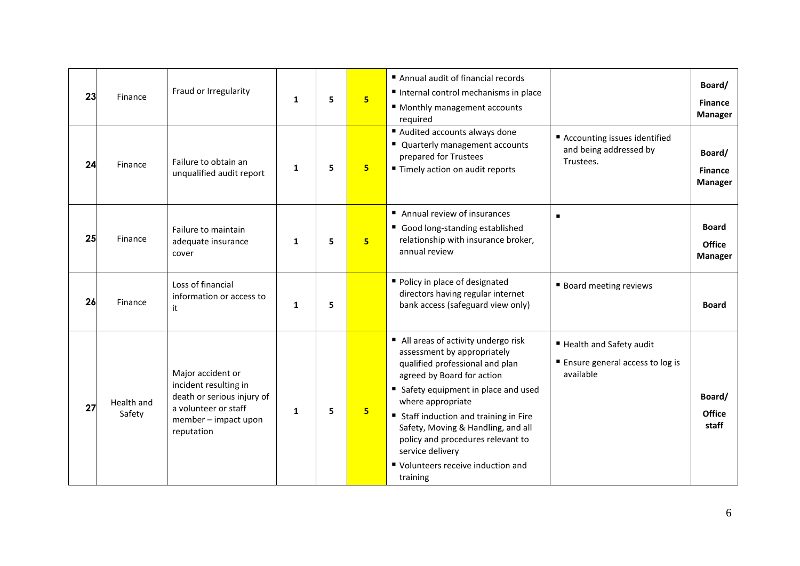| 23 | Finance              | Fraud or Irregularity                                                                                                                  | $\mathbf{1}$ | 5 | 5 <sup>1</sup> | Annual audit of financial records<br>Internal control mechanisms in place<br>■ Monthly management accounts<br>required                                                                                                                                                                                                                                                                     |                                                                                  | Board/<br><b>Finance</b><br><b>Manager</b> |
|----|----------------------|----------------------------------------------------------------------------------------------------------------------------------------|--------------|---|----------------|--------------------------------------------------------------------------------------------------------------------------------------------------------------------------------------------------------------------------------------------------------------------------------------------------------------------------------------------------------------------------------------------|----------------------------------------------------------------------------------|--------------------------------------------|
| 24 | Finance              | Failure to obtain an<br>unqualified audit report                                                                                       | $\mathbf{1}$ | 5 | 5              | Audited accounts always done<br>" Quarterly management accounts<br>prepared for Trustees<br>■ Timely action on audit reports                                                                                                                                                                                                                                                               | ■ Accounting issues identified<br>and being addressed by<br>Trustees.            | Board/<br><b>Finance</b><br><b>Manager</b> |
| 25 | Finance              | Failure to maintain<br>adequate insurance<br>cover                                                                                     | 1            | 5 | 5 <sup>2</sup> | Annual review of insurances<br>Good long-standing established<br>relationship with insurance broker,<br>annual review                                                                                                                                                                                                                                                                      | ٠                                                                                | <b>Board</b><br>Office<br><b>Manager</b>   |
| 26 | Finance              | Loss of financial<br>information or access to<br>it                                                                                    | $\mathbf{1}$ | 5 |                | Policy in place of designated<br>directors having regular internet<br>bank access (safeguard view only)                                                                                                                                                                                                                                                                                    | <b>Board meeting reviews</b>                                                     | <b>Board</b>                               |
| 27 | Health and<br>Safety | Major accident or<br>incident resulting in<br>death or serious injury of<br>a volunteer or staff<br>member - impact upon<br>reputation | $\mathbf{1}$ | 5 | 5              | ■ All areas of activity undergo risk<br>assessment by appropriately<br>qualified professional and plan<br>agreed by Board for action<br>Safety equipment in place and used<br>where appropriate<br>■ Staff induction and training in Fire<br>Safety, Moving & Handling, and all<br>policy and procedures relevant to<br>service delivery<br>■ Volunteers receive induction and<br>training | ■ Health and Safety audit<br><b>Ensure general access to log is</b><br>available | Board/<br><b>Office</b><br>staff           |